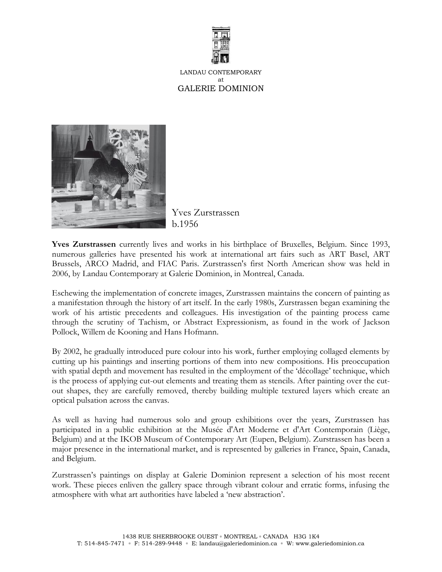

LANDAU CONTEMPORARY at GALERIE DOMINION



Yves Zurstrassen b.1956

**Yves Zurstrassen** currently lives and works in his birthplace of Bruxelles, Belgium. Since 1993, numerous galleries have presented his work at international art fairs such as ART Basel, ART Brussels, ARCO Madrid, and FIAC Paris. Zurstrassen's first North American show was held in 2006, by Landau Contemporary at Galerie Dominion, in Montreal, Canada.

Eschewing the implementation of concrete images, Zurstrassen maintains the concern of painting as a manifestation through the history of art itself. In the early 1980s, Zurstrassen began examining the work of his artistic precedents and colleagues. His investigation of the painting process came through the scrutiny of Tachism, or Abstract Expressionism, as found in the work of Jackson Pollock, Willem de Kooning and Hans Hofmann.

By 2002, he gradually introduced pure colour into his work, further employing collaged elements by cutting up his paintings and inserting portions of them into new compositions. His preoccupation with spatial depth and movement has resulted in the employment of the 'décollage' technique, which is the process of applying cut-out elements and treating them as stencils. After painting over the cutout shapes, they are carefully removed, thereby building multiple textured layers which create an optical pulsation across the canvas.

As well as having had numerous solo and group exhibitions over the years, Zurstrassen has participated in a public exhibition at [the Musée d'Art Moderne et d'Art Contemporain \(Liège,](http://www.artfacts.net/index.php/pageType/instInfo/inst/2281) Belgium) and at the IKOB Museum of Contemporary Art (Eupen, Belgium). Zurstrassen has been a major presence in the international market, and is represented by galleries in France, Spain, Canada, and Belgium.

Zurstrassen's paintings on display at Galerie Dominion represent a selection of his most recent work. These pieces enliven the gallery space through vibrant colour and erratic forms, infusing the atmosphere with what art authorities have labeled a 'new abstraction'.